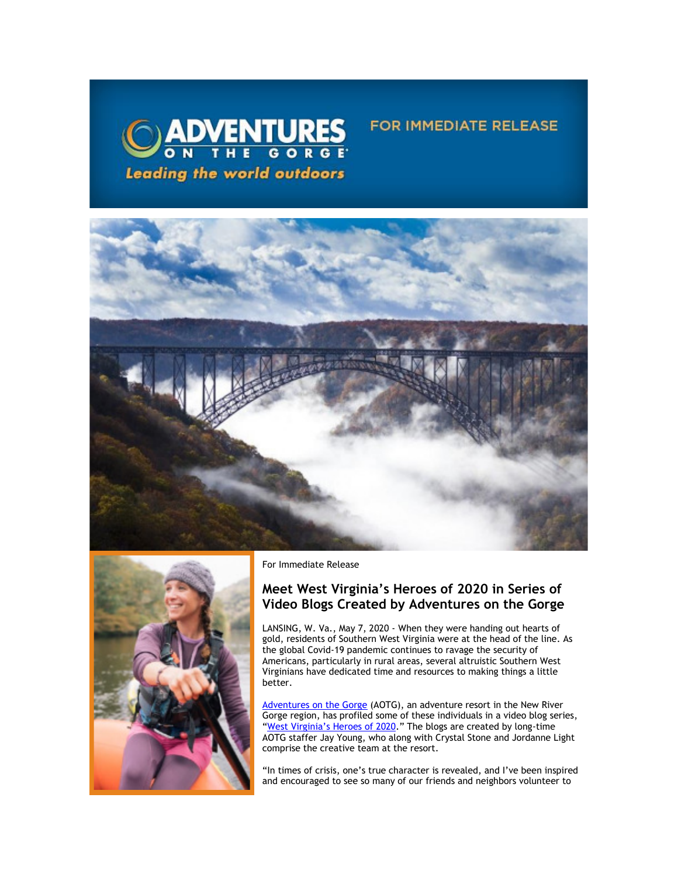

## **FOR IMMEDIATE RELEASE**





For Immediate Release

## **Meet West Virginia's Heroes of 2020 in Series of Video Blogs Created by Adventures on the Gorge**

LANSING, W. Va., May 7, 2020 - When they were handing out hearts of gold, residents of Southern West Virginia were at the head of the line. As the global Covid-19 pandemic continues to ravage the security of Americans, particularly in rural areas, several altruistic Southern West Virginians have dedicated time and resources to making things a little better.

[Adventures on the Gorge](https://click.icptrack.com/icp/relay.php?r=13440961&msgid=453215&act=3SPQ&c=1378153&destination=http%3A%2F%2Fwww.adventuresonthegorge.com%2F&cf=13608&v=5a6d29c5bd89500c6946838c97b8849561ebbd48dbb2fdae9fe0068cb3f8e60e) (AOTG), an adventure resort in the New River Gorge region, has profiled some of these individuals in a video blog series, ["West Virginia's Heroes of 2020.](https://click.icptrack.com/icp/relay.php?r=13440961&msgid=453215&act=3SPQ&c=1378153&destination=https%3A%2F%2Fadventuresonthegorge.com%2Fvideo-blog%2F&cf=13608&v=0b5d6b74a300db52e29f00753508d0ad2bbc8d1ee661f230867130d9a35aefad)" The blogs are created by long-time AOTG staffer Jay Young, who along with Crystal Stone and Jordanne Light comprise the creative team at the resort.

"In times of crisis, one's true character is revealed, and I've been inspired and encouraged to see so many of our friends and neighbors volunteer to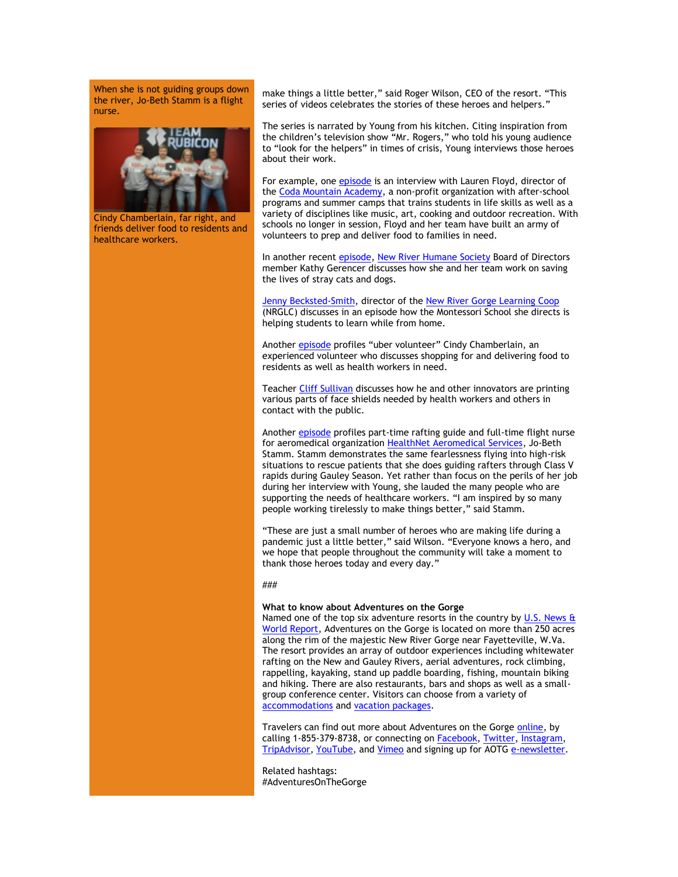When she is not guiding groups down the river, Jo-Beth Stamm is a flight nurse.



Cindy Chamberlain, far right, and friends deliver food to residents and healthcare workers.

make things a little better," said Roger Wilson, CEO of the resort. "This series of videos celebrates the stories of these heroes and helpers."

The series is narrated by Young from his kitchen. Citing inspiration from the children's television show "Mr. Rogers," who told his young audience to "look for the helpers" in times of crisis, Young interviews those heroes about their work.

For example, one [episode](https://click.icptrack.com/icp/relay.php?r=13440961&msgid=453215&act=3SPQ&c=1378153&destination=https%3A%2F%2Fadventuresonthegorge.com%2Fvideo-blog%2Fheroes-of-wv-2020-coda-mountain-academy-lauren-floyd%2F&cf=13608&v=60d5b434dc100228f5cfde9d9694e5e5e409a671c0ccfa7c4eb48882b17da398) is an interview with Lauren Floyd, director of the [Coda Mountain Academy,](https://click.icptrack.com/icp/relay.php?r=13440961&msgid=453215&act=3SPQ&c=1378153&destination=https%3A%2F%2Fwww.codamountain.com%2F%23%21&cf=13608&v=50872fc1754d968b9d7bb5ecdcdedd4cef272c56b2057548d83bb7166dc6cdbd) a non-profit organization with after-school programs and summer camps that trains students in life skills as well as a variety of disciplines like music, art, cooking and outdoor recreation. With schools no longer in session, Floyd and her team have built an army of volunteers to prep and deliver food to families in need.

In another recent [episode,](https://click.icptrack.com/icp/relay.php?r=13440961&msgid=453215&act=3SPQ&c=1378153&destination=https%3A%2F%2Fadventuresonthegorge.com%2Fvideo-blog%2Fheroes-of-wv-2020-kathy-gerencer-and-the-new-river-humane-society%2F&cf=13608&v=39874ecedba47340ad8e608236c3a676866a7f19d824da957e9ca99e961e5e92) [New River Humane Society](https://click.icptrack.com/icp/relay.php?r=13440961&msgid=453215&act=3SPQ&c=1378153&destination=https%3A%2F%2Ffayettecounty.wv.gov%2Fanimal-shelter%2FPages%2Fdefault.aspx&cf=13608&v=8f2a1596f2183eb6b1131d6e19437d41ae7d51518c1b6a53c290014967eacba3) Board of Directors member Kathy Gerencer discusses how she and her team work on saving the lives of stray cats and dogs.

[Jenny Becksted-Smith,](https://click.icptrack.com/icp/relay.php?r=13440961&msgid=453215&act=3SPQ&c=1378153&destination=https%3A%2F%2Fadventuresonthegorge.com%2Fvideo-blog%2Fheroes-of-wv-2020-cindy-chamberlain-wvs-uber-volunteer-2%2F&cf=13608&v=555f1bf508b07da466519ca636e23a07617965c331ac41f58c570f11d128064e) director of the [New River Gorge Learning Coop](https://click.icptrack.com/icp/relay.php?r=13440961&msgid=453215&act=3SPQ&c=1378153&destination=https%3A%2F%2Fwww.nrglc.org%2F&cf=13608&v=8120386e273c8fac5f48be7a4c527a96790bb57c5a0239015d12e7a1fdb8c185) (NRGLC) discusses in an episode how the Montessori School she directs is helping students to learn while from home.

Anothe[r episode](https://click.icptrack.com/icp/relay.php?r=13440961&msgid=453215&act=3SPQ&c=1378153&destination=https%3A%2F%2Fadventuresonthegorge.com%2Fvideo-blog%2Fheroes-of-wv-2020-cindy-chamberlain-wvs-uber-volunteer%2F&cf=13608&v=b3e127be4164bf14b148e0efdbade0ecdf0974ec41bd4278a10eb7062084b0ae) profiles "uber volunteer" Cindy Chamberlain, an experienced volunteer who discusses shopping for and delivering food to residents as well as health workers in need.

Teacher [Cliff Sullivan](https://click.icptrack.com/icp/relay.php?r=13440961&msgid=453215&act=3SPQ&c=1378153&destination=https%3A%2F%2Fadventuresonthegorge.com%2Fvideo-blog%2Fheroes-of-wv-2020-cliff-sullivan-and-3d-printers%2F&cf=13608&v=c0300d56a2ec5d350549f085881ab2e7ec1e9ed94e2bc04b34f714a35768da0f) discusses how he and other innovators are printing various parts of face shields needed by health workers and others in contact with the public.

Anothe[r episode](https://click.icptrack.com/icp/relay.php?r=13440961&msgid=453215&act=3SPQ&c=1378153&destination=https%3A%2F%2Fadventuresonthegorge.com%2Fvideo-blog%2Fheroes-of-wv-2020-jo-beth-stamm%2F&cf=13608&v=e009a98d15b43047834df3f994be732e1d3bf8e73922f63fea23ac0e67068b22) profiles part-time rafting guide and full-time flight nurse for aeromedical organization [HealthNet Aeromedical Services,](https://click.icptrack.com/icp/relay.php?r=13440961&msgid=453215&act=3SPQ&c=1378153&destination=https%3A%2F%2Fwww.healthnetaeromedical.com%2F&cf=13608&v=2feb09bf8249bdae2a8907161cbb18a3113f94743f5cae1b73ee43410ae45fe1) Jo-Beth Stamm. Stamm demonstrates the same fearlessness flying into high-risk situations to rescue patients that she does guiding rafters through Class V rapids during Gauley Season. Yet rather than focus on the perils of her job during her interview with Young, she lauded the many people who are supporting the needs of healthcare workers. "I am inspired by so many people working tirelessly to make things better," said Stamm.

"These are just a small number of heroes who are making life during a pandemic just a little better," said Wilson. "Everyone knows a hero, and we hope that people throughout the community will take a moment to thank those heroes today and every day."

## ###

## **What to know about Adventures on the Gorge**

Named one of the top six adventure resorts in the country by U.S. News  $\frac{a}{b}$ [World Report,](https://click.icptrack.com/icp/relay.php?r=13440961&msgid=453215&act=3SPQ&c=1378153&destination=http%3A%2F%2Ftravel.usnews.com%2Fgallery%2Famericas-6-top-adventure-resorts&cf=13608&v=764bfdbe430f777c5bcc69b025c1a8805ca5cbb157f8c18454c411b272e07901) Adventures on the Gorge is located on more than 250 acres along the rim of the majestic New River Gorge near Fayetteville, W.Va. The resort provides an array of outdoor experiences including whitewater rafting on the New and Gauley Rivers, aerial adventures, rock climbing, rappelling, kayaking, stand up paddle boarding, fishing, mountain biking and hiking. There are also restaurants, bars and shops as well as a smallgroup conference center. Visitors can choose from a variety of [accommodations](https://click.icptrack.com/icp/relay.php?r=13440961&msgid=453215&act=3SPQ&c=1378153&destination=https%3A%2F%2Fadventuresonthegorge.com%2Flodging%2F&cf=13608&v=a0a1ec07ee637c78242d3333295573a8e337130c936224b8e1d32f73fd9e88eb) an[d vacation packages.](https://click.icptrack.com/icp/relay.php?r=13440961&msgid=453215&act=3SPQ&c=1378153&destination=https%3A%2F%2Fadventuresonthegorge.com%2Fpackages%2F&cf=13608&v=8751df1b896b42a43c8f638cff3537e1a0bec91ccd87a43021a073a818c593de)

Travelers can find out more about Adventures on the Gorge [online,](https://click.icptrack.com/icp/relay.php?r=13440961&msgid=453215&act=3SPQ&c=1378153&destination=http%3A%2F%2Fwww.adventuresonthegorge.com%2F&cf=13608&v=5a6d29c5bd89500c6946838c97b8849561ebbd48dbb2fdae9fe0068cb3f8e60e) by calling 1-855-379-8738, or connecting on **Facebook**, **Twitter**, [Instagram,](https://click.icptrack.com/icp/relay.php?r=13440961&msgid=453215&act=3SPQ&c=1378153&destination=https%3A%2F%2Fwww.instagram.com%2Fonthegorge%2F&cf=13608&v=1ee16880632f1eb73eb9ad24dd989e2d12bd5a71d0cb5b3945f15e683acdaa9e) [TripAdvisor,](https://click.icptrack.com/icp/relay.php?r=13440961&msgid=453215&act=3SPQ&c=1378153&destination=https%3A%2F%2Fwww.tripadvisor.com%2FAttraction_Review-g59234-d2233643-Reviews-Adventures_on_the_Gorge-Lansing_West_Virginia.html&cf=13608&v=812472f5ea0d5eed3fed4db26567b4c884479f53ef512c18d25b071271e965bc) [YouTube,](https://click.icptrack.com/icp/relay.php?r=13440961&msgid=453215&act=3SPQ&c=1378153&destination=https%3A%2F%2Fwww.youtube.com%2Fuser%2FAdventuresOnTheGorge&cf=13608&v=7b71b3e994e129bfdca87c6523149b64faacb62e001d98eb26897d7c7236e8cc) and [Vimeo](https://click.icptrack.com/icp/relay.php?r=13440961&msgid=453215&act=3SPQ&c=1378153&destination=https%3A%2F%2Fvimeo.com%2Fuser4260102&cf=13608&v=4ff82f41c6c552c9da3c61684889fad58e153a690bdb0b74761adab86ca752a0) and signing up for AOT[G e-newsletter.](https://click.icptrack.com/icp/relay.php?r=13440961&msgid=453215&act=3SPQ&c=1378153&destination=https%3A%2F%2Fadventuresonthegorge.com%2F&cf=13608&v=a83cd0882452dd5ad1794082623f8c176d7586c5f6015a054a1c7b875f219550)

Related hashtags: #AdventuresOnTheGorge